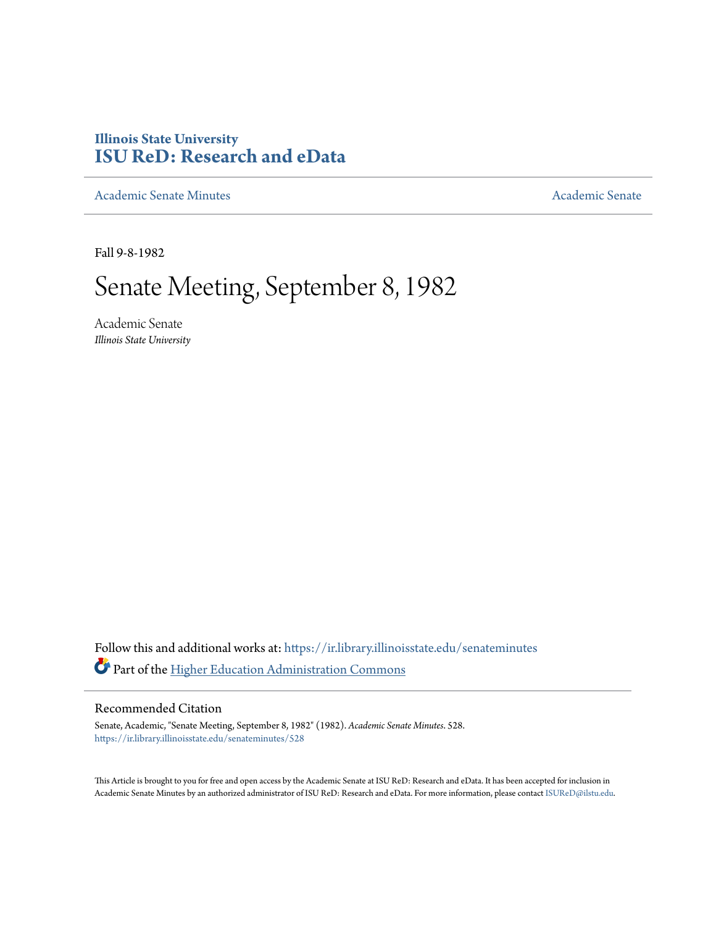# **Illinois State University [ISU ReD: Research and eData](https://ir.library.illinoisstate.edu?utm_source=ir.library.illinoisstate.edu%2Fsenateminutes%2F528&utm_medium=PDF&utm_campaign=PDFCoverPages)**

[Academic Senate Minutes](https://ir.library.illinoisstate.edu/senateminutes?utm_source=ir.library.illinoisstate.edu%2Fsenateminutes%2F528&utm_medium=PDF&utm_campaign=PDFCoverPages) [Academic Senate](https://ir.library.illinoisstate.edu/senate?utm_source=ir.library.illinoisstate.edu%2Fsenateminutes%2F528&utm_medium=PDF&utm_campaign=PDFCoverPages) Academic Senate

Fall 9-8-1982

# Senate Meeting, September 8, 1982

Academic Senate *Illinois State University*

Follow this and additional works at: [https://ir.library.illinoisstate.edu/senateminutes](https://ir.library.illinoisstate.edu/senateminutes?utm_source=ir.library.illinoisstate.edu%2Fsenateminutes%2F528&utm_medium=PDF&utm_campaign=PDFCoverPages) Part of the [Higher Education Administration Commons](http://network.bepress.com/hgg/discipline/791?utm_source=ir.library.illinoisstate.edu%2Fsenateminutes%2F528&utm_medium=PDF&utm_campaign=PDFCoverPages)

# Recommended Citation

Senate, Academic, "Senate Meeting, September 8, 1982" (1982). *Academic Senate Minutes*. 528. [https://ir.library.illinoisstate.edu/senateminutes/528](https://ir.library.illinoisstate.edu/senateminutes/528?utm_source=ir.library.illinoisstate.edu%2Fsenateminutes%2F528&utm_medium=PDF&utm_campaign=PDFCoverPages)

This Article is brought to you for free and open access by the Academic Senate at ISU ReD: Research and eData. It has been accepted for inclusion in Academic Senate Minutes by an authorized administrator of ISU ReD: Research and eData. For more information, please contact [ISUReD@ilstu.edu.](mailto:ISUReD@ilstu.edu)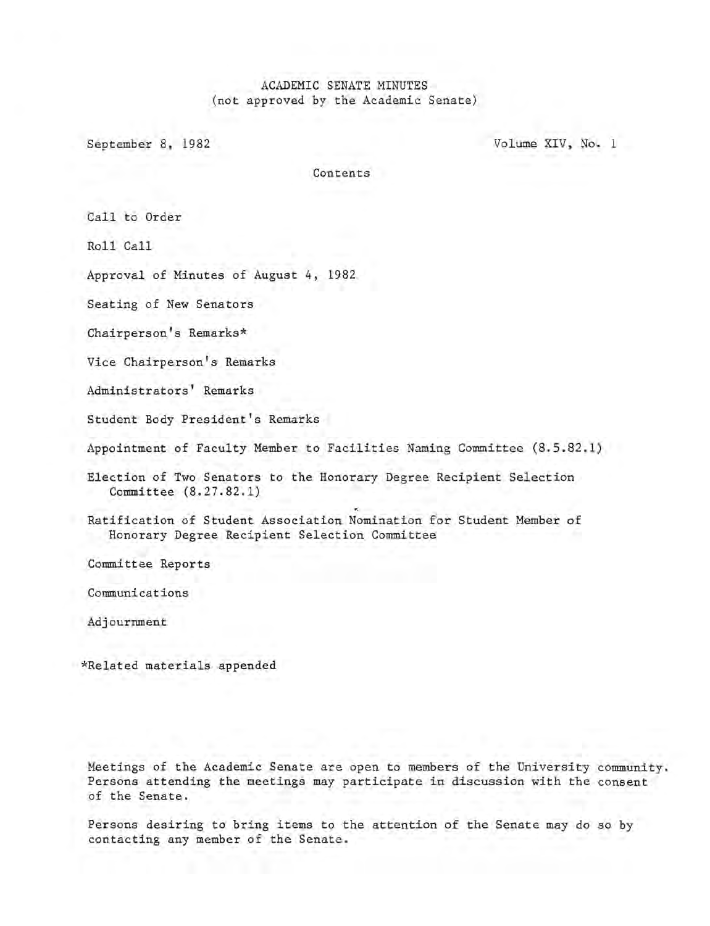# ACADEMIC SENATE MINUTES (not approved by the Academic Senate)

September 8, 1982 Volume XIV, No. 1

Contents

Call to Order

Roll Call

Approval of Minutes of August 4, 1982

Seating of New Senators

Chairperson's Remarks\*

Vice Chairperson's Remarks

Administrators' Remarks

Student Body President's Remarks

Appointment of Faculty Member to Facilities Naming Committee (8.5.82.1)

Election of Two Senators to the Honorary Degree Recipient Selection Committee (8.27.82.1)

Ratification of Student Association Nomination for Student Member of Honorary Degree Recipient Selection Committee

Committee Reports

Communications

Adjournment

\*Related materials appended

Meetings of the Academic Senate are open to members of the University community. Persons attending the meetings may participate in discussion with the consent of the Senate.

Persons desiring to bring items to the attention of the Senate may do so by contacting any member of the Senate.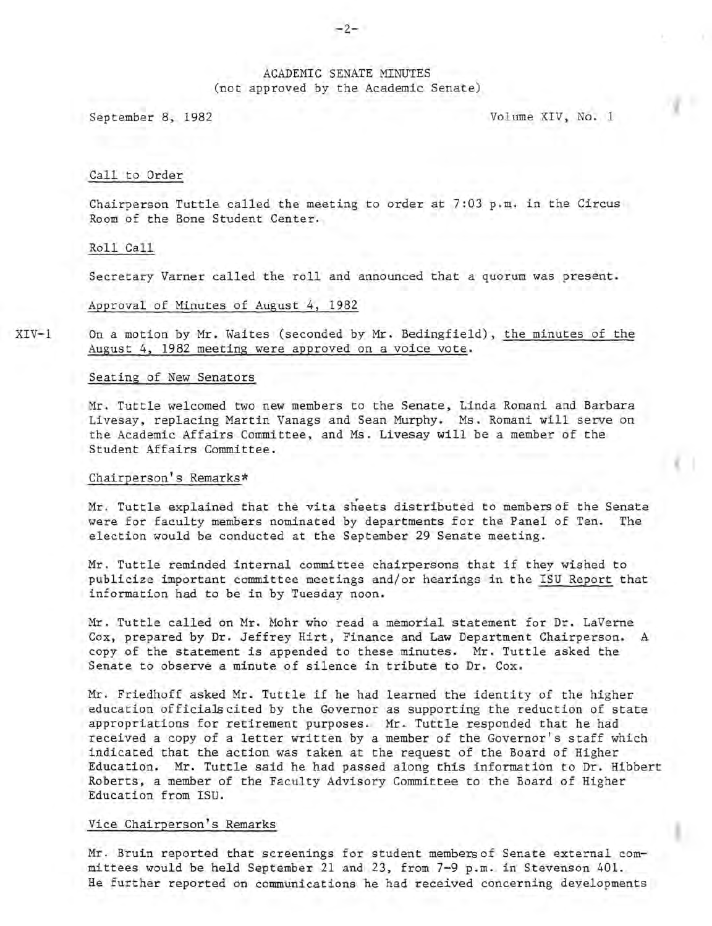### ACADEMIC SENATE MINUTES (not approved by the Academic Senate)

September 8, 1982 Volume XIV, No. 1

#### Call to Order

Chairperson Tuttle called the meeting to order at 7:03 p.m. in the Circus Room of the Bone Student Center.

#### Roll Call

Secretary Varner called the roll and announced that a quorum was present.

#### Approval of Minutes of August 4, 1982

XIV-1 On a motion by Mr. Waites (seconded by Mr. Bedingfield), the minutes of the August 4, 1982 meeting were approved on a voice vote.

#### Seating of New Senators

Mr. Tuttle welcomed two new members to the Senate, Linda Romani and Barbara Livesay, replacing Martin Vanags and Sean Murphy. Ms. Romani will serve on the Academic Affairs Committee, and Ms. Livesay will be a member of the Student Affairs Committee.

#### Chairperson's Remarks\*

Mr. Tuttle explained that the vita sheets distributed to membersof the Senate were for faculty members nominated by departments for the Panel of Ten. The election would be conducted at the September 29 Senate meeting.

Mr . Tuttle reminded internal committee chairpersons that if they wished to publicize important committee meetings and/or hearings in the ISU Report that information had to be in by Tuesday noon.

Mr . Tuttle called on Mr. Mohr who read a memorial statement for Dr. LaVerne Cox, prepared by Dr. Jeffrey Hirt, Finance and Law Department Chairperson. A copy of the statement is appended to these minutes. Mr. Tuttle asked the Senate to observe a minute of silence in tribute to Dr. Cox.

Mr. Friedhoff asked Mr. Tuttle if he had learned the identity of the higher education officials cited by the Governor as supporting the reduction of state appropriations for retirement purposes. Mr. Tuttle responded that he had r eceived a copy of a letter written by a member of the Governor's staff which indicated that the action was taken at the request of the Board of Higher Education. Mr. Tuttle said he had passed along this information to Dr. Hibbert Roberts, a member of the Faculty Advisory Committee to the Board of Higher Education from ISU.

#### Vice Chairperson's Remarks

Mr . Bruin reported that screenings for student members of Senate external committees would be held September 21 and 23, from 7-9 p.m. in Stevenson 401. He further reported on communications he had received concerning developments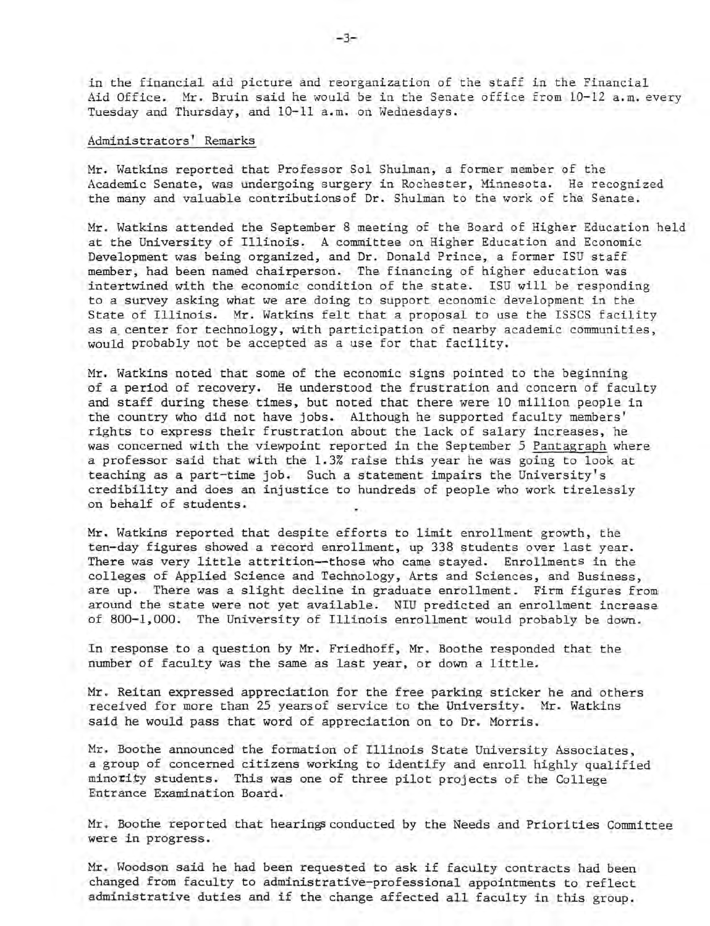in the financial aid picture and reorganization of the staff in the Financial Aid Office. Mr. Bruin said he would be in the Senate office from 10-12 a.m. every Tuesday and Thursday, and 10-11 a.m. on Wednesdays.

#### Administrators' Remarks

Mr. Watkins reported that Professor Sol Shulman, a former member of the Academic Senate, was undergoing surgery in Rochester, Minnesota. He recognized the many and valuable contributionsof Dr. Shulman to the work of the Senate.

Mr. Watkins attended the September 8 meeting of the Board of Higher Education held at the University of Illinois. A committee on Higher Education and Economic Development was being organized, and Dr. Donald Prince, a former ISU staff member, had been named chairperson. The financing of higher education was intertwined with the economic condition of the state. ISU will be responding to a survey asking what we are doing to support economic development in the State of Illinois. Mr. Watkins felt that a proposal to use the ISSCS facility as a, center for technology, with participation of nearby academic communities, would probably not be accepted as a use for that facility.

Mr. Watkins noted that some of the economic signs pointed to the beginning of a period of recovery. He understood the frustration and concern of faculty and staff during these times, but noted that there were 10 million people in the country who did not have jobs. Although he supported faculty members' rights to express their frustration about the lack of salary increases, he was concerned with the viewpoint reported in the September 5 Pantagraph where a professor said that with the 1.3% raise this year he was going to look at teaching as a part-time job. Such a statement impairs the University's credibility and does an injustice to hundreds of people who work tirelessly on behalf of students.

Mr. Watkins reported that despite efforts to limit enrollment growth, the ten-day figures showed a record enrollment, up 338 students over last year. There was very little attrition--those who came stayed. Enrollments in the colleges of Applied Science and Technology, Arts and Sciences, and Business, are up. There was a slight decline in graduate enrollment. Firm figures from around the state were not yet available. NIU predicted an enrollment increase of 800-1,000. The University of Illinois enrollment would probably be down.

In response to a question by Mr. Friedhoff, Mr. Boothe responded that the number of faculty was the same as last year, or down a little.

Mr. Reitan expressed appreciation for the free parking sticker he and others received for more than 25 years of service to the University. Mr. Watkins said he would pass that word of appreciation on to Dr. Morris.

Mr. Boothe announced the formation of Illinois State University Associates, a group of concerned citizens working to identify and enroll highly qualified minority students. This was one of three pilot projects of the College Entrance Examination Board.

Mr. Boothe reported that hearings conducted by the Needs and Priorities Committee were in progress.

Mr. Woodson said he had been requested to ask if faculty contracts had been changed from faculty to administrative-professional appointments to reflect administrative duties and if the change affected all faculty in this group.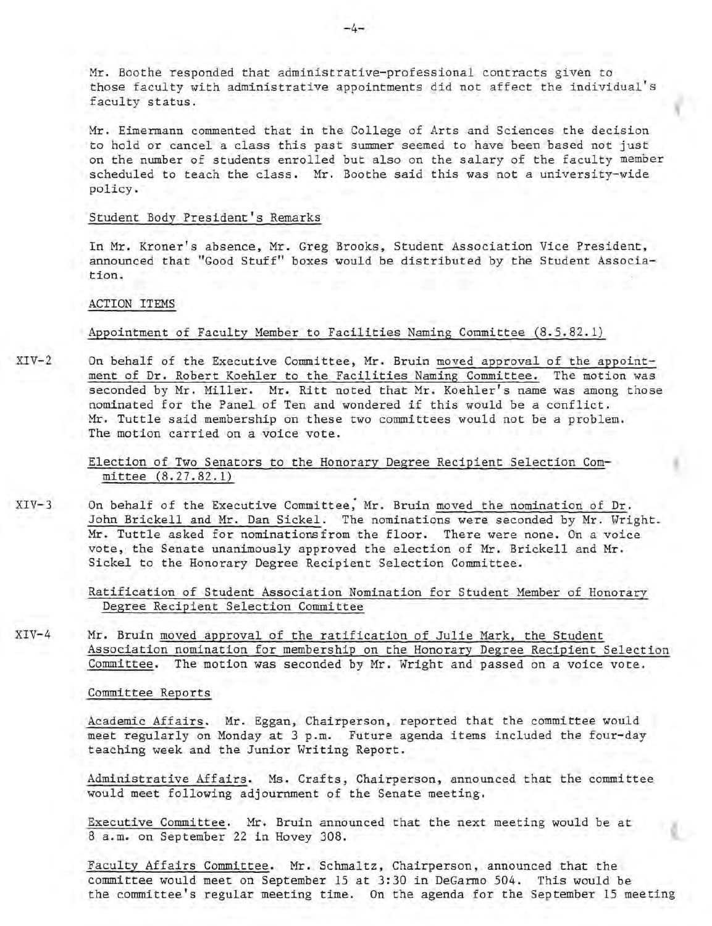Mr. Boothe responded that administrative-professional contracts given to those faculty with administrative appointments did not affect the individual's faculty status.

Mr. Eimermann commented that in the College of Arts and Sciences the decision to hold or cancel a class this past summer seemed to have been based not just on the number of students enrolled but also on the salary of the faculty member scheduled to teach the class. Mr. Boothe said this was not a university-wide policy.

#### Student Body President's Remarks

In Mr. Kroner's absence, Mr. Greg Brooks, Student Association Vice President, announced that "Good Stuff" boxes would be distributed by the Student Association.

ACTION ITEMS

Appointment of Faculty Member to Facilities Naming Committee (8.5.82.1)

 $XIV-2$ On behalf of the Executive Committee, Mr. Bruin moved approval of the appointment of Dr. Robert Koehler to the Facilities Naming Committee. The motion was seconded by Mr. Miller. Mr. Ritt noted that Mr. Koehler's name was among those nominated for the Panel of Ten and wondered if this would be a conflict. Mr. Tuttle said membership on these two committees would not be a problem. The motion carried on a voice vote.

> Election of Two Senators to the Honorary Degree Recipient Selection Committee (8.27.82.1)

 $XIV-3$ On behalf of the Executive Committee; Mr. Bruin moved the nomination of Dr. John Brickell and Mr. Dan Sickel. The nominations were seconded by Mr. Wright. Mr. Tuttle asked for nominations from the floor. There were none. On a voice vote, the Senate unanimously approved the election of Mr. Brickell and Mr. Sickel to the Honorary Degree Recipient Selection Committee.

> Ratification of Student Association Nomination for Student Member of Honorary Degree Recipient Selection Committee

XIV-4 Mr. Bruin moved approval of the ratification of Julie Mark, the Student Association nomination for membership on the Honorary Degree Recipient Selection Committee. The motion was seconded by Mr. Wright and passed on a voice vote.

Committee Reports

Academic Affairs. Mr. Eggan, Chairperson, reported that the committee would meet regularly on Monday at 3 p.m. Future agenda items included the four-day teaching week and the Junior Writing Report.

Administrative Affairs. Ms. Crafts, Chairperson, announced that the committee would meet following adjournment of the Senate meeting.

Executive Committee. Mr. Bruin announced that the next meeting would be at 8 a.m. on September 22 in Hovey 308.

Faculty Affairs Committee. Mr. Schmaltz, Chairperson, announced that the committee would meet on September 15 at 3:30 in DeGarmo 504. This would be the committee's regular meeting time. On the agenda for the September 15 meeting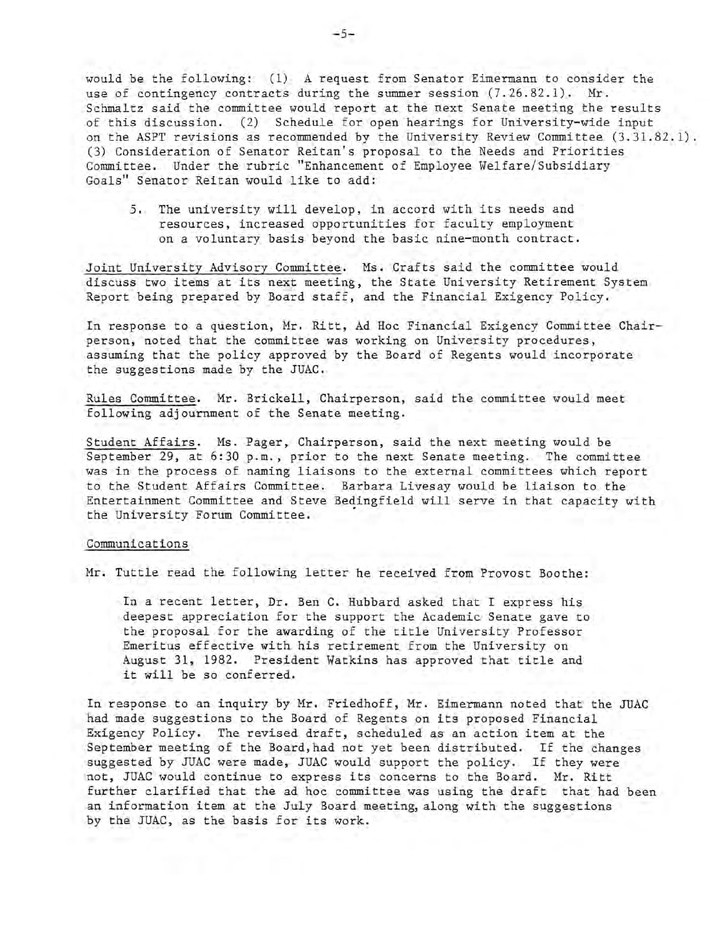would be the following: (1) A request from Senator Eimermann to consider the use of contingency contracts during the summer session (7.26.82.1). Mr. Schmaltz said the committee would report at the next Senate meeting the results of this discussion. (2) Schedule for open hearings for University-wide input on the ASPT revisions as recommended by the University Review Committee (3.31.82.1). (3) Consideration of Senator Reitan's proposal to the Needs and Priorities Committee. Under the rubric "Enhancement of Employee Welfare/Subsidiary Goals" Senator Reitan would like to add:

5. The university will develop, in accord with its needs and resources, increased opportunities for faculty employment on a voluntary basis beyond the basic nine-month contract.

Joint University Advisory Committee. Ms. Crafts said the committee would discuss two items at its next meeting, the State University Retirement System Report being prepared by Board staff, and the Financial Exigency Policy.

In response to a question, Mr. Ritt, Ad Hoc Financial Exigency Committee Chairperson, noted that the committee was working on University procedures, assuming that the policy approved by the Board of Regents would incorporate the suggestions made by the JUAC.

Rules Committee. Mr. Brickell, Chairperson, said the committee would meet following adjournment of the Senate meeting.

Student Affairs. Ms. Pager, Chairperson, said the next meeting would be September 29, at 6:30 p.m., prior to the next Senate meeting. The committee was in the process of naming liaisons to the external committees which report to the Student Affairs Committee. Barbara Livesay would be liaison to the Entertainment Committee and Steve Bedingfield will serve in that capacity with the University Forum Committee.

#### Communications

Mr. Tuttle read the following letter he received from Provost Boothe:

In a recent letter, Dr. Ben C. Hubbard asked that I express his deepest appreciation for the support the Academic Senate gave to the proposal for the awarding of the title University Professor Emeritus effective with his retirement from the University on August 31, 1982. President Watkins has approved that title and it will be so conferred.

In response to an inquiry by Mr. Friedhoff, Mr. Eimermann noted that the JUAC had made suggestions to the Board of Regents on its proposed Financial Exigency Policy. The revised draft, scheduled as an action item at the September meeting of the Board, had not yet been distributed. If the changes suggested by JUAC were made, JUAC would support the policy. If they were not, JUAC would continue to express its concerns to the Board. Mr. Ritt further clarified that the ad hoc committee was using the draft that had been an information item at the July Board meeting, along with the suggestions by the JUAC, as the basis for its work.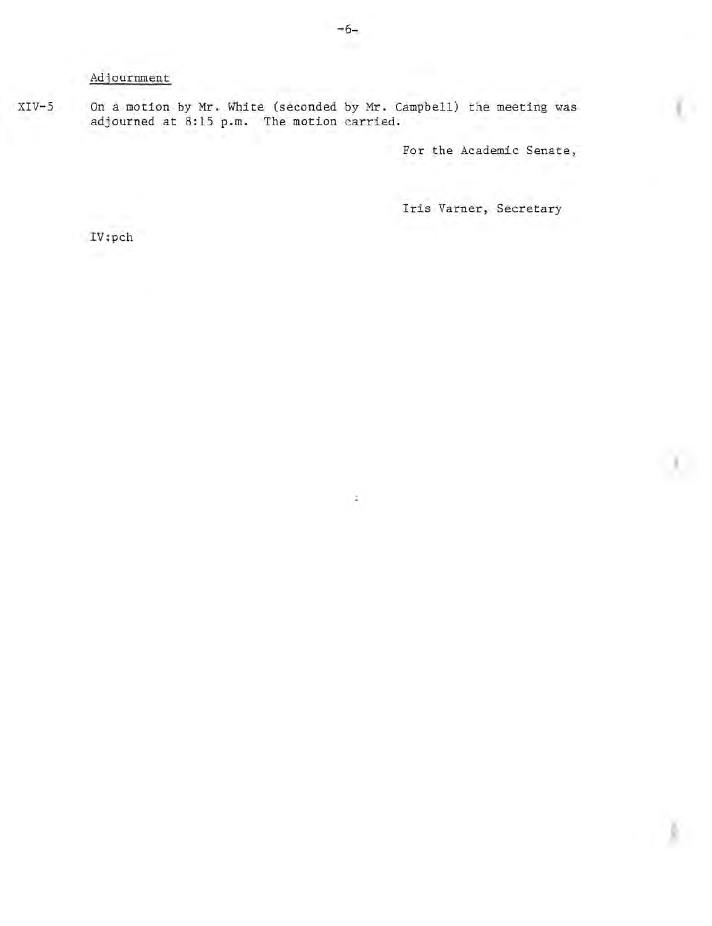# Adjournment

XIV-S On a motion by **Mr.** White (seconded by **Mr.** Campbell) the meeting was adjourned at 8:15 **p.m.** The motion carried.

For the Academic Senate,

Iris Varner, Secretary

IV:pch

¥.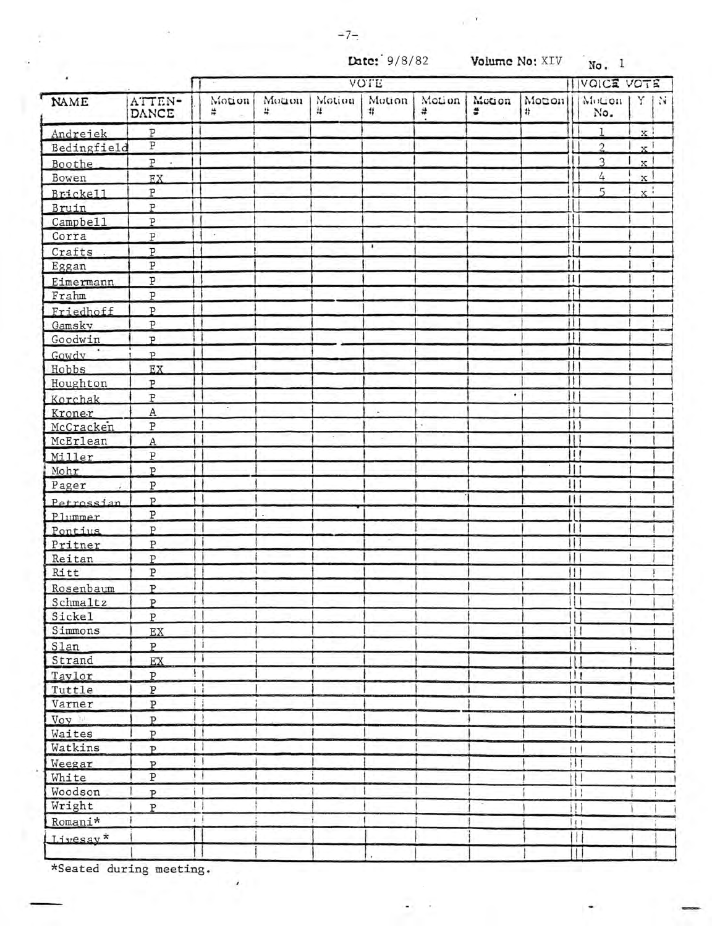$\mathbf{r}$ 

| ٠                  |                       | <b>VOTE</b>                                     |            |             |             |             |             |             |                                        | <b>IVOICE VOTE</b> |                           |      |  |
|--------------------|-----------------------|-------------------------------------------------|------------|-------------|-------------|-------------|-------------|-------------|----------------------------------------|--------------------|---------------------------|------|--|
| NAME               | ATTEN-<br>DANCE       | Motion<br>÷                                     | Monon<br># | Motion<br># | Motion<br># | Motion<br># | Motion<br>÷ | Motion<br># |                                        | Motion<br>No.      |                           | Y IN |  |
| Andrejek           | $\, {\bf p}$          |                                                 |            |             |             |             |             |             |                                        | 1                  | x.                        |      |  |
| Bedingfield        | $\overline{\text{P}}$ |                                                 |            |             |             |             |             |             |                                        | $\mathfrak{I}$     | $\mathbf{x}$ <sup>1</sup> |      |  |
| Boothe             | $\, {\bf p}$          |                                                 |            |             |             |             |             |             |                                        | $\mathcal{L}$      | $\mathbf{x}$              |      |  |
| Bowen              | EX                    |                                                 |            |             |             |             |             |             |                                        | 4                  | $\mathbf{x}$              |      |  |
| Brickell           | $\, {\bf p}$          |                                                 |            |             |             |             |             |             |                                        | 5                  | $\mathbf{x}$ :            |      |  |
| Bruin              | $\overline{P}$        |                                                 |            |             |             |             |             |             |                                        |                    |                           |      |  |
| Campbell           | $\overline{\text{P}}$ |                                                 |            |             |             |             |             |             |                                        |                    |                           |      |  |
| Corra              | $\, {\bf p}$          | $\star$                                         |            |             |             |             |             |             |                                        |                    |                           |      |  |
| Crafts.            | P                     |                                                 |            |             | ٠           |             |             |             |                                        |                    |                           |      |  |
| Eggan              | $\overline{\text{P}}$ |                                                 |            |             |             |             |             |             |                                        |                    |                           |      |  |
|                    | P                     |                                                 |            |             |             |             |             |             | Ħ                                      |                    |                           |      |  |
| Eimermann<br>Frahm | $\overline{P}$        |                                                 |            |             |             |             |             |             | H                                      |                    |                           |      |  |
|                    | P                     |                                                 |            |             |             |             |             |             | Ħ                                      |                    |                           |      |  |
| Friedhoff          | $\mathbf{P}$          |                                                 |            |             |             |             |             |             | 4).                                    |                    |                           |      |  |
| Gamsky             | $\mathbf{p}$          |                                                 |            |             |             |             |             |             | $^{\dagger}$                           |                    |                           |      |  |
| Goodwin<br>Gowdy   |                       |                                                 |            |             |             |             |             |             | Ħ                                      |                    |                           |      |  |
|                    | $\mathbf{p}$          |                                                 |            |             |             |             |             |             | $\mathbf{H}$                           |                    |                           |      |  |
| Hobbs              | EX                    |                                                 |            |             |             |             |             |             | Ħ                                      |                    |                           |      |  |
| Houghton           | P                     |                                                 |            |             |             |             | ٠           |             | П                                      |                    |                           |      |  |
| Korchak            | P                     |                                                 |            |             |             |             |             |             |                                        |                    |                           |      |  |
| Kroner             | $\rm A$               |                                                 |            |             |             |             |             |             | ił.                                    |                    |                           |      |  |
| McCracken          | $\, {\bf P}$          | 11                                              |            |             |             |             |             |             | 111                                    |                    |                           |      |  |
| McErlean           | $\rm A$               |                                                 |            |             |             |             |             |             | 11                                     |                    |                           |      |  |
| Miller             | $\, {\bf p}$          |                                                 |            |             |             |             |             |             | Ш                                      |                    |                           |      |  |
| Mohr               | $\mathbf{P}$          |                                                 |            |             |             |             |             |             | 扣                                      |                    |                           |      |  |
| Pager              | ${\tt P}$             |                                                 |            |             |             |             |             |             | Ш                                      |                    |                           |      |  |
| Petrossian         | $\mathbf{p}$          |                                                 |            |             |             |             |             |             | $\mathbf{H}$                           |                    |                           |      |  |
| Plummer            | $\, {\bf p}$          |                                                 | $\cdot$    |             |             |             |             |             | ш                                      |                    |                           |      |  |
| Pontius            | P                     |                                                 |            |             |             |             |             |             | $\mathbf{1}$                           |                    |                           |      |  |
| Pritner            | P                     |                                                 |            |             |             |             |             |             | Ħ                                      |                    |                           |      |  |
| Reitan             | P                     |                                                 |            |             |             |             |             |             | Ш                                      |                    |                           |      |  |
| Ritt               | ${\tt P}$             |                                                 |            |             |             |             |             |             | $\vert \vert$                          |                    |                           |      |  |
| Rosenbaum          | $\mathbf{p}$          |                                                 |            |             |             |             |             |             | Ш                                      |                    |                           |      |  |
| Schmaltz           | $\overline{P}$        | i i                                             |            |             |             |             |             |             | $\overline{11}$                        |                    |                           |      |  |
| Sickel             | $\, {\bf p}$          |                                                 |            |             |             |             |             |             | $\mathbf{1}$                           |                    |                           |      |  |
| Simmons            | EX                    | 11                                              |            |             |             |             |             |             | 11                                     |                    |                           |      |  |
| Slan               | ${\tt P}$             | Ιi                                              |            |             |             |             |             |             | $\overline{1}\overline{1}\overline{1}$ |                    |                           |      |  |
| Strand             | EX                    | П                                               |            |             |             |             |             |             | $\mathbf{H}$                           |                    |                           |      |  |
| Taylor             | P                     | $\overline{1}$                                  |            |             |             |             |             |             | $   _1$                                |                    |                           |      |  |
| Tuttle             | ${\tt P}$             | Ħ                                               |            |             |             |             |             |             | Ш                                      |                    |                           |      |  |
| Varner             | $\, {\bf P}$          | Ħ                                               |            |             |             |             |             |             | $\overline{1}$                         |                    |                           |      |  |
| Voy 1              | $\overline{P}$        | $\vert$ }                                       |            |             |             |             |             |             | 111                                    |                    |                           |      |  |
| Waites             | $\mathbf{P}$          | Ħ                                               |            |             |             |             |             |             | Щ                                      |                    |                           | r    |  |
| Watkins            | $\mathbf{p}$          | П                                               |            |             |             |             |             |             | 11                                     |                    | ì                         |      |  |
| Weegar             | $\mathbf{p}$          | $\left  \cdot \right $                          |            |             |             |             |             |             | $\overline{111}$                       |                    |                           |      |  |
| White              | ${\tt P}$             | i j                                             |            |             |             |             |             |             | $\uparrow \uparrow \uparrow$           |                    | $\mathbf{r}$              |      |  |
| Woodson            | $\mathbf{p}$          | $\mathbf{i}$                                    |            |             |             |             |             |             | 打上                                     |                    |                           |      |  |
| Wright             | $\overline{P}$        | $\left( \begin{array}{c} 1 \end{array} \right)$ |            |             |             |             |             |             | 11)                                    |                    |                           |      |  |
| Romani*            |                       | 3 I                                             |            |             |             |             |             |             | $\left\{ 11\right\}$                   |                    |                           |      |  |
| Livesay*           |                       |                                                 |            |             |             |             |             |             | $\mathbf{H}$                           |                    |                           |      |  |
|                    |                       |                                                 |            |             |             |             |             |             |                                        |                    |                           |      |  |
|                    |                       |                                                 |            |             |             |             |             |             | Ш                                      |                    |                           |      |  |

\*Seated during meeting.

 $\lambda$